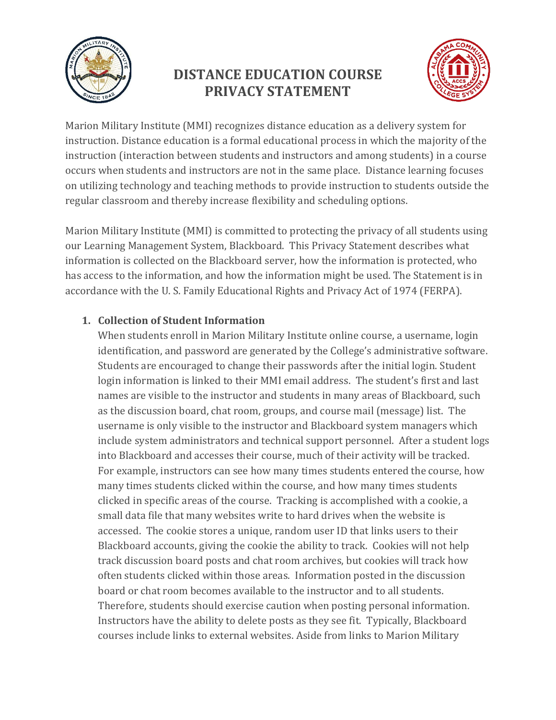

# **DISTANCE EDUCATION COURSE PRIVACY STATEMENT**



Marion Military Institute (MMI) recognizes distance education as a delivery system for instruction. Distance education is a formal educational process in which the majority of the instruction (interaction between students and instructors and among students) in a course occurs when students and instructors are not in the same place. Distance learning focuses on utilizing technology and teaching methods to provide instruction to students outside the regular classroom and thereby increase flexibility and scheduling options.

Marion Military Institute (MMI) is committed to protecting the privacy of all students using our Learning Management System, Blackboard. This Privacy Statement describes what information is collected on the Blackboard server, how the information is protected, who has access to the information, and how the information might be used. The Statement is in accordance with the U. S. Family Educational Rights and Privacy Act of 1974 (FERPA).

## **1. Collection of Student Information**

When students enroll in Marion Military Institute online course, a username, login identification, and password are generated by the College's administrative software. Students are encouraged to change their passwords after the initial login. Student login information is linked to their MMI email address. The student's first and last names are visible to the instructor and students in many areas of Blackboard, such as the discussion board, chat room, groups, and course mail (message) list. The username is only visible to the instructor and Blackboard system managers which include system administrators and technical support personnel. After a student logs into Blackboard and accesses their course, much of their activity will be tracked. For example, instructors can see how many times students entered the course, how many times students clicked within the course, and how many times students clicked in specific areas of the course. Tracking is accomplished with a cookie, a small data file that many websites write to hard drives when the website is accessed. The cookie stores a unique, random user ID that links users to their Blackboard accounts, giving the cookie the ability to track. Cookies will not help track discussion board posts and chat room archives, but cookies will track how often students clicked within those areas. Information posted in the discussion board or chat room becomes available to the instructor and to all students. Therefore, students should exercise caution when posting personal information. Instructors have the ability to delete posts as they see fit. Typically, Blackboard courses include links to external websites. Aside from links to Marion Military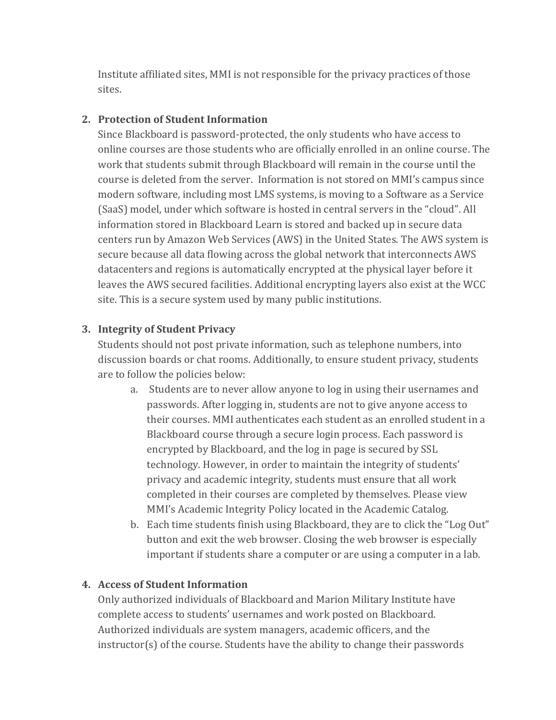Institute affiliated sites, MMI is not responsible for the privacy practices of those sites.

#### **2. Protection of Student Information**

Since Blackboard is password-protected, the only students who have access to online courses are those students who are officially enrolled in an online course. The work that students submit through Blackboard will remain in the course until the course is deleted from the server. Information is not stored on MMI's campus since modern software, including most LMS systems, is moving to a Software as a Service (SaaS) model, under which software is hosted in central servers in the "cloud". All information stored in Blackboard Learn is stored and backed up in secure data centers run by Amazon Web Services (AWS) in the United States. The AWS system is secure because all data flowing across the global network that interconnects AWS datacenters and regions is automatically encrypted at the physical layer before it leaves the AWS secured facilities. Additional encrypting layers also exist at the WCC site. This is a secure system used by many public institutions.

#### **3. Integrity of Student Privacy**

Students should not post private information, such as telephone numbers, into discussion boards or chat rooms. Additionally, to ensure student privacy, students are to follow the policies below:

- a. Students are to never allow anyone to log in using their usernames and passwords. After logging in, students are not to give anyone access to their courses. MMI authenticates each student as an enrolled student in a Blackboard course through a secure login process. Each password is encrypted by Blackboard, and the log in page is secured by SSL technology. However, in order to maintain the integrity of students' privacy and academic integrity, students must ensure that all work completed in their courses are completed by themselves. Please view MMI's Academic Integrity Policy located in the Academic Catalog.
- b. Each time students finish using Blackboard, they are to click the "Log Out" button and exit the web browser. Closing the web browser is especially important if students share a computer or are using a computer in a lab.

#### **4. Access of Student Information**

Only authorized individuals of Blackboard and Marion Military Institute have complete access to students' usernames and work posted on Blackboard. Authorized individuals are system managers, academic officers, and the instructor(s) of the course. Students have the ability to change their passwords